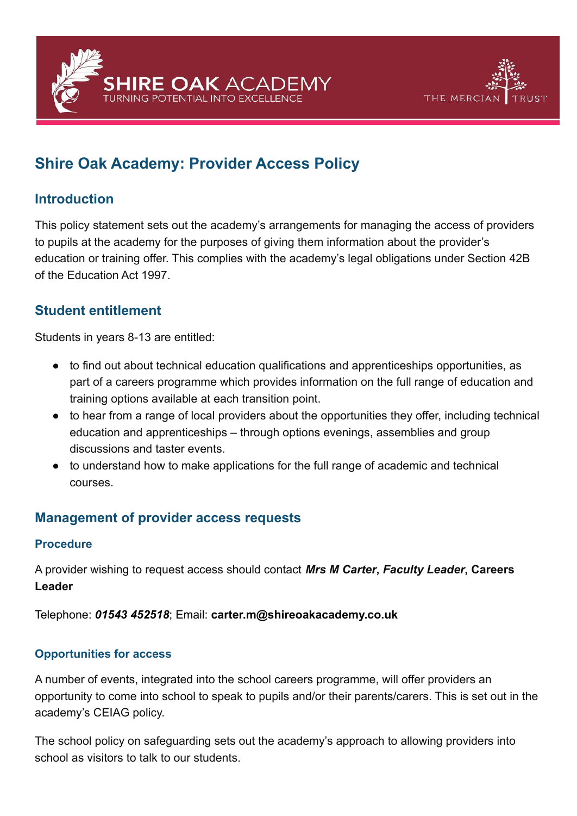



# **Shire Oak Academy: Provider Access Policy**

## **Introduction**

This policy statement sets out the academy's arrangements for managing the access of providers to pupils at the academy for the purposes of giving them information about the provider's education or training offer. This complies with the academy's legal obligations under Section 42B of the Education Act 1997.

# **Student entitlement**

Students in years 8-13 are entitled:

- to find out about technical education qualifications and apprenticeships opportunities, as part of a careers programme which provides information on the full range of education and training options available at each transition point.
- to hear from a range of local providers about the opportunities they offer, including technical education and apprenticeships – through options evenings, assemblies and group discussions and taster events.
- to understand how to make applications for the full range of academic and technical courses.

## **Management of provider access requests**

#### **Procedure**

A provider wishing to request access should contact *Mrs M Carter***,** *Faculty Leader***, Careers Leader**

Telephone: *01543 452518*; Email: **carter.m@shireoakacademy.co.uk**

#### **Opportunities for access**

A number of events, integrated into the school careers programme, will offer providers an opportunity to come into school to speak to pupils and/or their parents/carers. This is set out in the academy's CEIAG policy.

The school policy on safeguarding sets out the academy's approach to allowing providers into school as visitors to talk to our students.